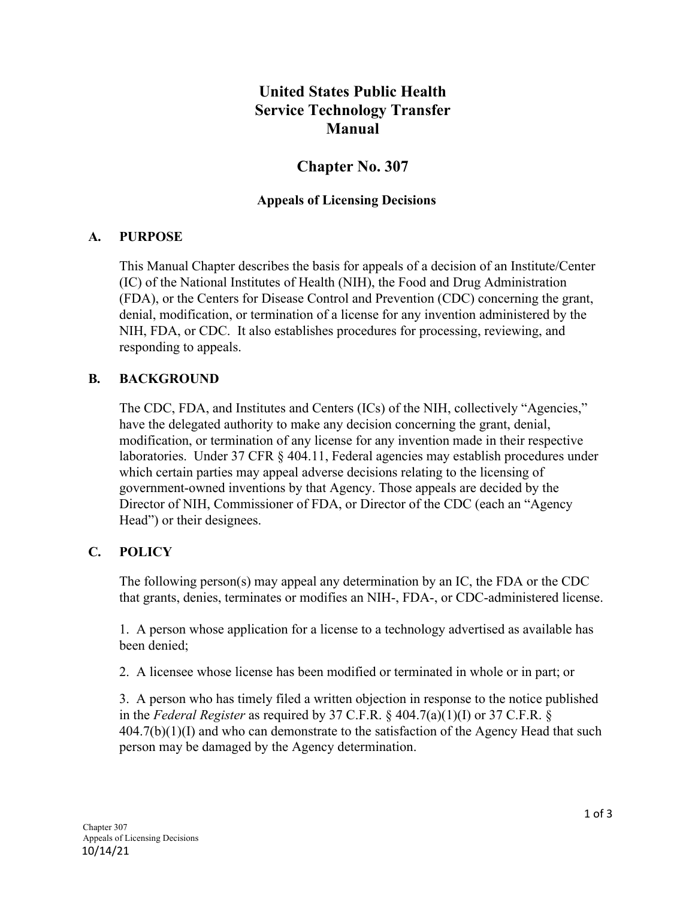# **United States Public Health Service Technology Transfer Manual**

# **Chapter No. 307**

#### **Appeals of Licensing Decisions**

#### **A. PURPOSE**

This Manual Chapter describes the basis for appeals of a decision of an Institute/Center (IC) of the National Institutes of Health (NIH), the Food and Drug Administration (FDA), or the Centers for Disease Control and Prevention (CDC) concerning the grant, denial, modification, or termination of a license for any invention administered by the NIH, FDA, or CDC. It also establishes procedures for processing, reviewing, and responding to appeals.

#### **B. BACKGROUND**

The CDC, FDA, and Institutes and Centers (ICs) of the NIH, collectively "Agencies," have the delegated authority to make any decision concerning the grant, denial, modification, or termination of any license for any invention made in their respective laboratories. Under 37 CFR § 404.11, Federal agencies may establish procedures under which certain parties may appeal adverse decisions relating to the licensing of government-owned inventions by that Agency. Those appeals are decided by the Director of NIH, Commissioner of FDA, or Director of the CDC (each an "Agency Head") or their designees.

#### **C. POLICY**

The following person(s) may appeal any determination by an IC, the FDA or the CDC that grants, denies, terminates or modifies an NIH-, FDA-, or CDC-administered license.

1. A person whose application for a license to a technology advertised as available has been denied;

2. A licensee whose license has been modified or terminated in whole or in part; or

3. A person who has timely filed a written objection in response to the notice published in the *Federal Register* as required by 37 C.F.R. § 404.7(a)(1)(I) or 37 C.F.R. §  $404.7(b)(1)(I)$  and who can demonstrate to the satisfaction of the Agency Head that such person may be damaged by the Agency determination.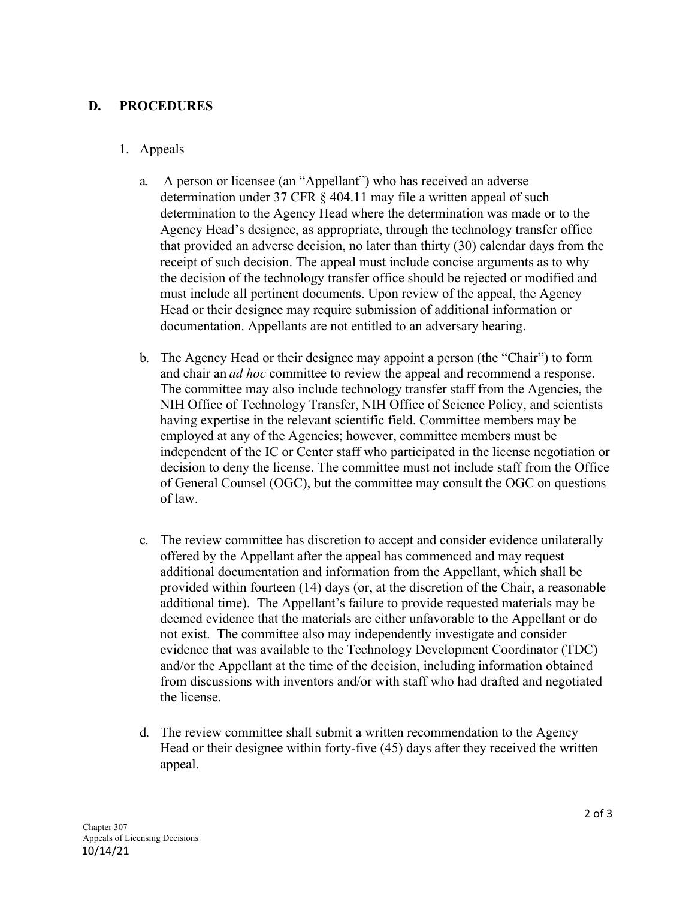#### **D. PROCEDURES**

#### 1. Appeals

- a. A person or licensee (an "Appellant") who has received an adverse determination under 37 CFR § 404.11 may file a written appeal of such determination to the Agency Head where the determination was made or to the Agency Head's designee, as appropriate, through the technology transfer office that provided an adverse decision, no later than thirty (30) calendar days from the receipt of such decision. The appeal must include concise arguments as to why the decision of the technology transfer office should be rejected or modified and must include all pertinent documents. Upon review of the appeal, the Agency Head or their designee may require submission of additional information or documentation. Appellants are not entitled to an adversary hearing.
- b. The Agency Head or their designee may appoint a person (the "Chair") to form and chair an *ad hoc* committee to review the appeal and recommend a response. The committee may also include technology transfer staff from the Agencies, the NIH Office of Technology Transfer, NIH Office of Science Policy, and scientists having expertise in the relevant scientific field. Committee members may be employed at any of the Agencies; however, committee members must be independent of the IC or Center staff who participated in the license negotiation or decision to deny the license. The committee must not include staff from the Office of General Counsel (OGC), but the committee may consult the OGC on questions of law.
- c. The review committee has discretion to accept and consider evidence unilaterally offered by the Appellant after the appeal has commenced and may request additional documentation and information from the Appellant, which shall be provided within fourteen (14) days (or, at the discretion of the Chair, a reasonable additional time). The Appellant's failure to provide requested materials may be deemed evidence that the materials are either unfavorable to the Appellant or do not exist. The committee also may independently investigate and consider evidence that was available to the Technology Development Coordinator (TDC) and/or the Appellant at the time of the decision, including information obtained from discussions with inventors and/or with staff who had drafted and negotiated the license.
- d. The review committee shall submit a written recommendation to the Agency Head or their designee within forty-five (45) days after they received the written appeal.